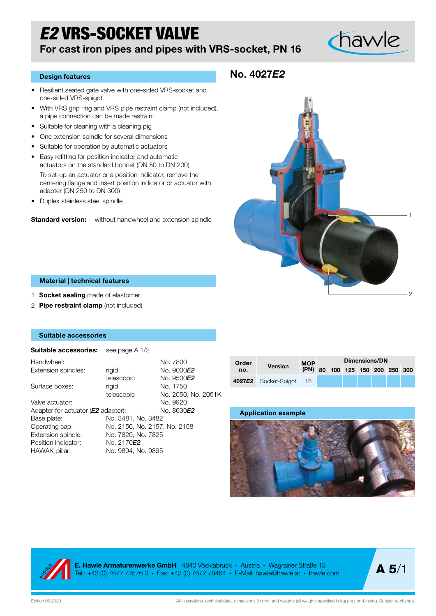# *E2* VRS-SOCKET VALVE

### For cast iron pipes and pipes with VRS-socket, PN 16

# chawle

#### Design features

- Resilient seated gate valve with one-sided VRS-socket and one-sided VRS-spigot
- With VRS grip ring and VRS pipe restraint clamp (not included), a pipe connection can be made restraint
- Suitable for cleaning with a cleaning pig
- One extension spindle for several dimensions
- Suitable for operation by automatic actuators
- Easy refitting for position indicator and automatic actuators on the standard bonnet (DN 50 to DN 200) To set-up an actuator or a position indicator, remove the centering flange and insert position indicator or actuator with adapter (DN 250 to DN 300)
- Duplex stainless steel spindle

**Standard version:** without handwheel and extension spindle

### No. 4027*E2*



#### Material | technical features

- 1 **Socket sealing** made of elastomer
- 2 Pipe restraint clamp (not included)

#### Suitable accessories

| <b>Suitable accessories:</b> see page A 1/2 |                              |                     |
|---------------------------------------------|------------------------------|---------------------|
| Handwheel:                                  |                              | No. 7800            |
| Extension spindles:                         | rigid                        | No. 9000E2          |
|                                             | telescopic                   | No. 9500E2          |
| Surface boxes:                              | rigid                        | No. 1750            |
|                                             | telescopic                   | No. 2050, No. 2051K |
| Valve actuator:                             |                              | No. 9920            |
| Adapter for actuator ( <b>E2</b> adapter):  |                              | No. 8630 <b>E2</b>  |
| Base plate:                                 | No. 3481, No. 3482           |                     |
| Operating cap:                              | No. 2156, No. 2157, No. 2158 |                     |
| Extension spindle:                          | No. 7820, No. 7825           |                     |
| Position indicator:                         | No. 2170E2                   |                     |
| HAWAK-pillar:                               | No. 9894, No. 9895           |                     |
|                                             |                              |                     |

| Order<br>no. |                      | <b>MOP</b><br>(PN) | Dimensions/DN |  |  |  |  |                            |  |  |
|--------------|----------------------|--------------------|---------------|--|--|--|--|----------------------------|--|--|
|              | <b>Version</b>       |                    |               |  |  |  |  | 80 100 125 150 200 250 300 |  |  |
|              | 4027E2 Socket-Spigot | 16                 |               |  |  |  |  |                            |  |  |





E. Hawle Armaturenwerke GmbH 4840 Vöcklabruck - Austria - Wagrainer Straße 13 Tel.: +43 (0) 7672 72576 0 - Fax: +43 (0) 7672 78464 - E-Mail: hawle@hawle.at - hawle.com